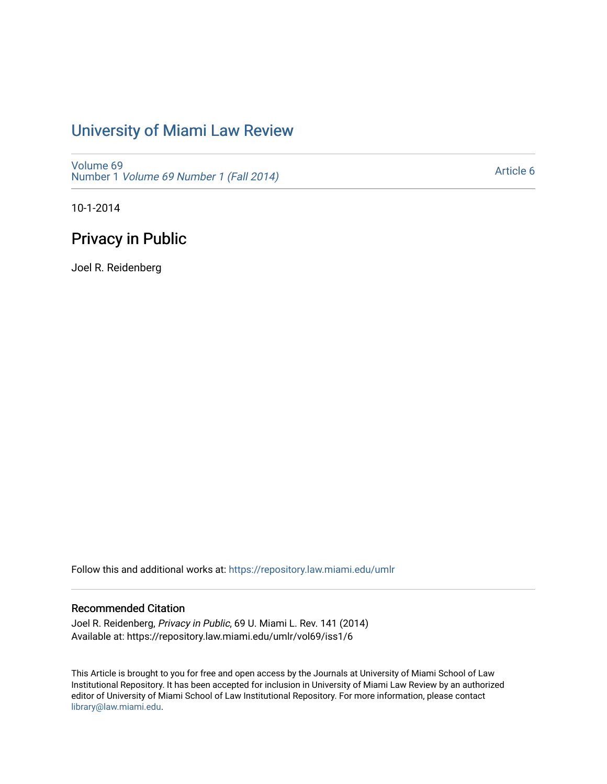# [University of Miami Law Review](https://repository.law.miami.edu/umlr)

[Volume 69](https://repository.law.miami.edu/umlr/vol69) Number 1 [Volume 69 Number 1 \(Fall 2014\)](https://repository.law.miami.edu/umlr/vol69/iss1) 

[Article 6](https://repository.law.miami.edu/umlr/vol69/iss1/6) 

10-1-2014

# Privacy in Public

Joel R. Reidenberg

Follow this and additional works at: [https://repository.law.miami.edu/umlr](https://repository.law.miami.edu/umlr?utm_source=repository.law.miami.edu%2Fumlr%2Fvol69%2Fiss1%2F6&utm_medium=PDF&utm_campaign=PDFCoverPages)

## Recommended Citation

Joel R. Reidenberg, Privacy in Public, 69 U. Miami L. Rev. 141 (2014) Available at: https://repository.law.miami.edu/umlr/vol69/iss1/6

This Article is brought to you for free and open access by the Journals at University of Miami School of Law Institutional Repository. It has been accepted for inclusion in University of Miami Law Review by an authorized editor of University of Miami School of Law Institutional Repository. For more information, please contact [library@law.miami.edu.](mailto:library@law.miami.edu)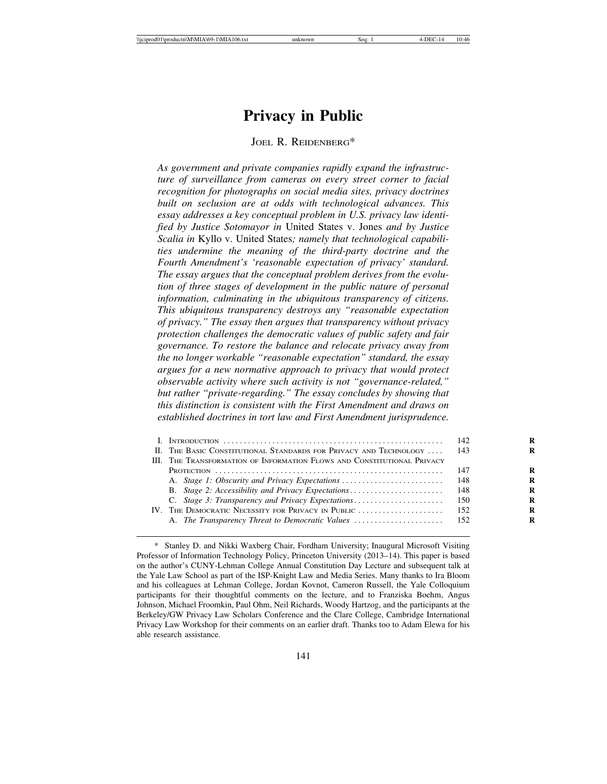# **Privacy in Public**

#### JOEL R. REIDENBERG\*

*As government and private companies rapidly expand the infrastructure of surveillance from cameras on every street corner to facial recognition for photographs on social media sites, privacy doctrines built on seclusion are at odds with technological advances. This essay addresses a key conceptual problem in U.S. privacy law identified by Justice Sotomayor in* United States v. Jones *and by Justice Scalia in* Kyllo v. United States*; namely that technological capabilities undermine the meaning of the third-party doctrine and the Fourth Amendment's 'reasonable expectation of privacy' standard. The essay argues that the conceptual problem derives from the evolution of three stages of development in the public nature of personal information, culminating in the ubiquitous transparency of citizens. This ubiquitous transparency destroys any "reasonable expectation of privacy." The essay then argues that transparency without privacy protection challenges the democratic values of public safety and fair governance. To restore the balance and relocate privacy away from the no longer workable "reasonable expectation" standard, the essay argues for a new normative approach to privacy that would protect observable activity where such activity is not "governance-related," but rather "private-regarding." The essay concludes by showing that this distinction is consistent with the First Amendment and draws on established doctrines in tort law and First Amendment jurisprudence.*

| II. THE BASIC CONSTITUTIONAL STANDARDS FOR PRIVACY AND TECHNOLOGY       | -143  | R |
|-------------------------------------------------------------------------|-------|---|
| III. THE TRANSFORMATION OF INFORMATION FLOWS AND CONSTITUTIONAL PRIVACY |       |   |
|                                                                         | - 147 | R |
|                                                                         |       | R |
| B. Stage 2: Accessibility and Privacy Expectations                      | - 148 | R |
| C. Stage 3: Transparency and Privacy Expectations                       | -150  | R |
|                                                                         | -152  | R |
|                                                                         |       | R |
|                                                                         |       |   |

<sup>\*</sup> Stanley D. and Nikki Waxberg Chair, Fordham University; Inaugural Microsoft Visiting Professor of Information Technology Policy, Princeton University (2013–14). This paper is based on the author's CUNY-Lehman College Annual Constitution Day Lecture and subsequent talk at the Yale Law School as part of the ISP-Knight Law and Media Series. Many thanks to Ira Bloom and his colleagues at Lehman College, Jordan Kovnot, Cameron Russell, the Yale Colloquium participants for their thoughtful comments on the lecture, and to Franziska Boehm, Angus Johnson, Michael Froomkin, Paul Ohm, Neil Richards, Woody Hartzog, and the participants at the Berkeley/GW Privacy Law Scholars Conference and the Clare College, Cambridge International Privacy Law Workshop for their comments on an earlier draft. Thanks too to Adam Elewa for his able research assistance.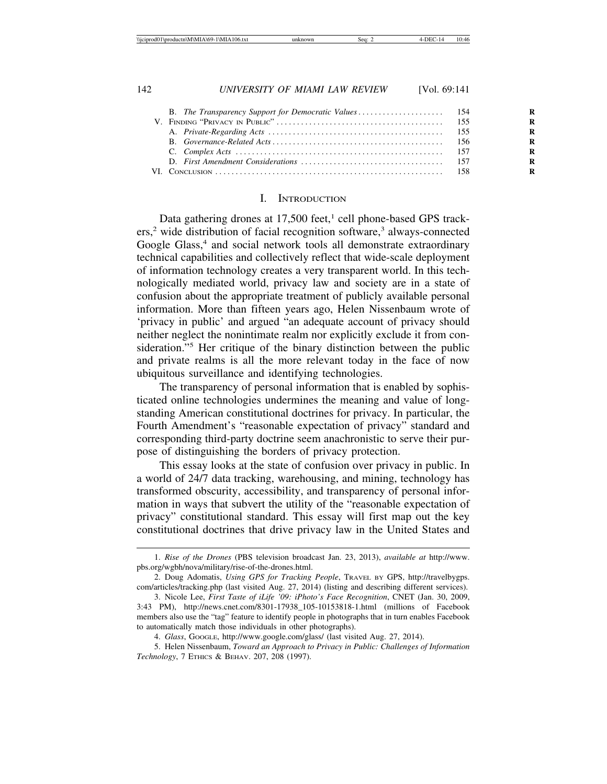|  | R |
|--|---|
|  | R |
|  | R |
|  | R |
|  | R |
|  | R |
|  |   |

#### I. INTRODUCTION

Data gathering drones at 17,500 feet,<sup>1</sup> cell phone-based GPS trackers,<sup>2</sup> wide distribution of facial recognition software,<sup>3</sup> always-connected Google Glass,<sup>4</sup> and social network tools all demonstrate extraordinary technical capabilities and collectively reflect that wide-scale deployment of information technology creates a very transparent world. In this technologically mediated world, privacy law and society are in a state of confusion about the appropriate treatment of publicly available personal information. More than fifteen years ago, Helen Nissenbaum wrote of 'privacy in public' and argued "an adequate account of privacy should neither neglect the nonintimate realm nor explicitly exclude it from consideration."<sup>5</sup> Her critique of the binary distinction between the public and private realms is all the more relevant today in the face of now ubiquitous surveillance and identifying technologies.

The transparency of personal information that is enabled by sophisticated online technologies undermines the meaning and value of longstanding American constitutional doctrines for privacy. In particular, the Fourth Amendment's "reasonable expectation of privacy" standard and corresponding third-party doctrine seem anachronistic to serve their purpose of distinguishing the borders of privacy protection.

This essay looks at the state of confusion over privacy in public. In a world of 24/7 data tracking, warehousing, and mining, technology has transformed obscurity, accessibility, and transparency of personal information in ways that subvert the utility of the "reasonable expectation of privacy" constitutional standard. This essay will first map out the key constitutional doctrines that drive privacy law in the United States and

<sup>1.</sup> *Rise of the Drones* (PBS television broadcast Jan. 23, 2013), *available at* http://www. pbs.org/wgbh/nova/military/rise-of-the-drones.html.

<sup>2.</sup> Doug Adomatis, *Using GPS for Tracking People*, TRAVEL BY GPS, http://travelbygps. com/articles/tracking.php (last visited Aug. 27, 2014) (listing and describing different services).

<sup>3.</sup> Nicole Lee, *First Taste of iLife '09: iPhoto's Face Recognition*, CNET (Jan. 30, 2009, 3:43 PM), http://news.cnet.com/8301-17938\_105-10153818-1.html (millions of Facebook members also use the "tag" feature to identify people in photographs that in turn enables Facebook to automatically match those individuals in other photographs).

<sup>4.</sup> *Glass*, GOOGLE, http://www.google.com/glass/ (last visited Aug. 27, 2014).

<sup>5.</sup> Helen Nissenbaum, *Toward an Approach to Privacy in Public: Challenges of Information Technology*, 7 ETHICS & BEHAV. 207, 208 (1997).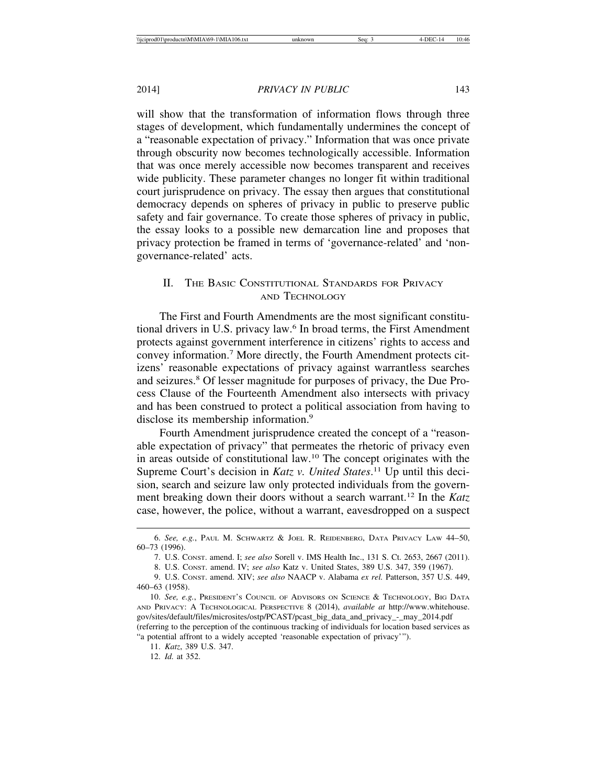will show that the transformation of information flows through three stages of development, which fundamentally undermines the concept of a "reasonable expectation of privacy." Information that was once private through obscurity now becomes technologically accessible. Information that was once merely accessible now becomes transparent and receives wide publicity. These parameter changes no longer fit within traditional court jurisprudence on privacy. The essay then argues that constitutional democracy depends on spheres of privacy in public to preserve public safety and fair governance. To create those spheres of privacy in public, the essay looks to a possible new demarcation line and proposes that privacy protection be framed in terms of 'governance-related' and 'nongovernance-related' acts.

# II. THE BASIC CONSTITUTIONAL STANDARDS FOR PRIVACY AND TECHNOLOGY

The First and Fourth Amendments are the most significant constitutional drivers in U.S. privacy law.<sup>6</sup> In broad terms, the First Amendment protects against government interference in citizens' rights to access and convey information.<sup>7</sup> More directly, the Fourth Amendment protects citizens' reasonable expectations of privacy against warrantless searches and seizures.<sup>8</sup> Of lesser magnitude for purposes of privacy, the Due Process Clause of the Fourteenth Amendment also intersects with privacy and has been construed to protect a political association from having to disclose its membership information.<sup>9</sup>

Fourth Amendment jurisprudence created the concept of a "reasonable expectation of privacy" that permeates the rhetoric of privacy even in areas outside of constitutional law.10 The concept originates with the Supreme Court's decision in *Katz v. United States*.<sup>11</sup> Up until this decision, search and seizure law only protected individuals from the government breaking down their doors without a search warrant.12 In the *Katz* case, however, the police, without a warrant, eavesdropped on a suspect

<sup>6.</sup> *See, e.g.*, PAUL M. SCHWARTZ & JOEL R. REIDENBERG, DATA PRIVACY LAW 44–50, 60–73 (1996).

<sup>7.</sup> U.S. CONST. amend. I; *see also* Sorell v. IMS Health Inc., 131 S. Ct. 2653, 2667 (2011).

<sup>8.</sup> U.S. CONST. amend. IV; *see also* Katz v. United States, 389 U.S. 347, 359 (1967).

<sup>9.</sup> U.S. CONST. amend. XIV; *see also* NAACP v. Alabama *ex rel.* Patterson, 357 U.S. 449, 460–63 (1958).

<sup>10.</sup> *See, e.g.*, PRESIDENT'S COUNCIL OF ADVISORS ON SCIENCE & TECHNOLOGY, BIG DATA AND PRIVACY: A TECHNOLOGICAL PERSPECTIVE 8 (2014), *available at* http://www.whitehouse. gov/sites/default/files/microsites/ostp/PCAST/pcast\_big\_data\_and\_privacy\_-\_may\_2014.pdf (referring to the perception of the continuous tracking of individuals for location based services as "a potential affront to a widely accepted 'reasonable expectation of privacy'").

<sup>11.</sup> *Katz*, 389 U.S. 347.

<sup>12.</sup> *Id.* at 352.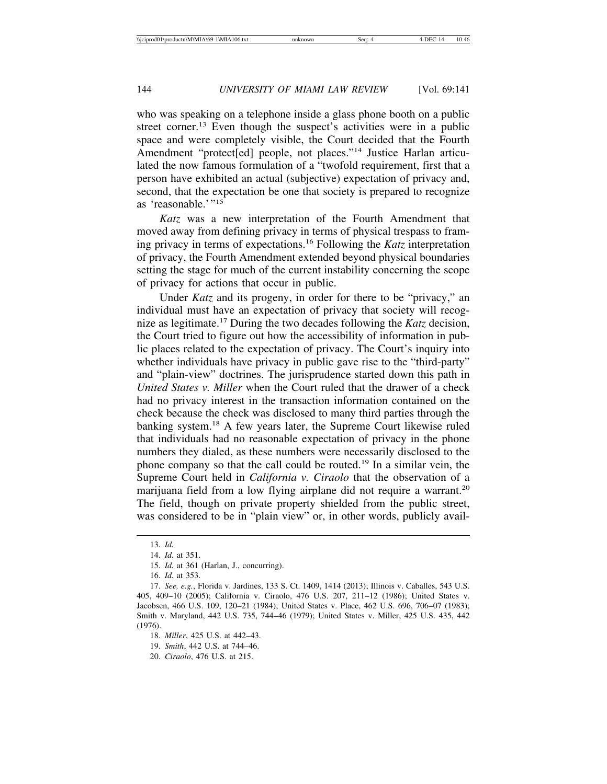who was speaking on a telephone inside a glass phone booth on a public street corner.<sup>13</sup> Even though the suspect's activities were in a public space and were completely visible, the Court decided that the Fourth Amendment "protect[ed] people, not places."14 Justice Harlan articulated the now famous formulation of a "twofold requirement, first that a person have exhibited an actual (subjective) expectation of privacy and, second, that the expectation be one that society is prepared to recognize as 'reasonable.'"<sup>15</sup>

*Katz* was a new interpretation of the Fourth Amendment that moved away from defining privacy in terms of physical trespass to framing privacy in terms of expectations.16 Following the *Katz* interpretation of privacy, the Fourth Amendment extended beyond physical boundaries setting the stage for much of the current instability concerning the scope of privacy for actions that occur in public.

Under *Katz* and its progeny, in order for there to be "privacy," an individual must have an expectation of privacy that society will recognize as legitimate.17 During the two decades following the *Katz* decision, the Court tried to figure out how the accessibility of information in public places related to the expectation of privacy. The Court's inquiry into whether individuals have privacy in public gave rise to the "third-party" and "plain-view" doctrines. The jurisprudence started down this path in *United States v. Miller* when the Court ruled that the drawer of a check had no privacy interest in the transaction information contained on the check because the check was disclosed to many third parties through the banking system.18 A few years later, the Supreme Court likewise ruled that individuals had no reasonable expectation of privacy in the phone numbers they dialed, as these numbers were necessarily disclosed to the phone company so that the call could be routed.19 In a similar vein, the Supreme Court held in *California v. Ciraolo* that the observation of a marijuana field from a low flying airplane did not require a warrant.<sup>20</sup> The field, though on private property shielded from the public street, was considered to be in "plain view" or, in other words, publicly avail-

16. *Id.* at 353.

<sup>13.</sup> *Id.*

<sup>14.</sup> *Id.* at 351.

<sup>15.</sup> *Id.* at 361 (Harlan, J., concurring).

<sup>17.</sup> *See, e.g.*, Florida v. Jardines, 133 S. Ct. 1409, 1414 (2013); Illinois v. Caballes, 543 U.S. 405, 409–10 (2005); California v. Ciraolo, 476 U.S. 207, 211–12 (1986); United States v. Jacobsen, 466 U.S. 109, 120–21 (1984); United States v. Place, 462 U.S. 696, 706–07 (1983); Smith v. Maryland, 442 U.S. 735, 744–46 (1979); United States v. Miller, 425 U.S. 435, 442 (1976).

<sup>18.</sup> *Miller*, 425 U.S. at 442–43.

<sup>19.</sup> *Smith*, 442 U.S. at 744–46.

<sup>20.</sup> *Ciraolo*, 476 U.S. at 215.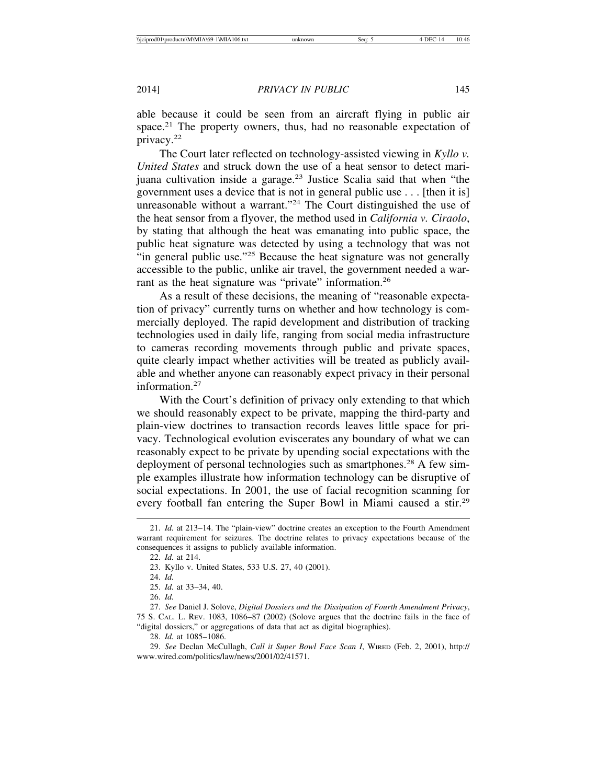able because it could be seen from an aircraft flying in public air space.<sup>21</sup> The property owners, thus, had no reasonable expectation of privacy.22

The Court later reflected on technology-assisted viewing in *Kyllo v. United States* and struck down the use of a heat sensor to detect marijuana cultivation inside a garage.23 Justice Scalia said that when "the government uses a device that is not in general public use . . . [then it is] unreasonable without a warrant."<sup>24</sup> The Court distinguished the use of the heat sensor from a flyover, the method used in *California v. Ciraolo*, by stating that although the heat was emanating into public space, the public heat signature was detected by using a technology that was not "in general public use."25 Because the heat signature was not generally accessible to the public, unlike air travel, the government needed a warrant as the heat signature was "private" information.<sup>26</sup>

As a result of these decisions, the meaning of "reasonable expectation of privacy" currently turns on whether and how technology is commercially deployed. The rapid development and distribution of tracking technologies used in daily life, ranging from social media infrastructure to cameras recording movements through public and private spaces, quite clearly impact whether activities will be treated as publicly available and whether anyone can reasonably expect privacy in their personal information.<sup>27</sup>

With the Court's definition of privacy only extending to that which we should reasonably expect to be private, mapping the third-party and plain-view doctrines to transaction records leaves little space for privacy. Technological evolution eviscerates any boundary of what we can reasonably expect to be private by upending social expectations with the deployment of personal technologies such as smartphones.<sup>28</sup> A few simple examples illustrate how information technology can be disruptive of social expectations. In 2001, the use of facial recognition scanning for every football fan entering the Super Bowl in Miami caused a stir.29

28. *Id.* at 1085–1086.

<sup>21.</sup> *Id.* at 213–14. The "plain-view" doctrine creates an exception to the Fourth Amendment warrant requirement for seizures. The doctrine relates to privacy expectations because of the consequences it assigns to publicly available information.

<sup>22.</sup> *Id.* at 214.

<sup>23.</sup> Kyllo v. United States, 533 U.S. 27, 40 (2001).

<sup>24.</sup> *Id.*

<sup>25.</sup> *Id.* at 33–34, 40.

<sup>26.</sup> *Id.*

<sup>27.</sup> *See* Daniel J. Solove, *Digital Dossiers and the Dissipation of Fourth Amendment Privacy*, 75 S. CAL. L. REV. 1083, 1086–87 (2002) (Solove argues that the doctrine fails in the face of "digital dossiers," or aggregations of data that act as digital biographies).

<sup>29.</sup> *See* Declan McCullagh, *Call it Super Bowl Face Scan I*, WIRED (Feb. 2, 2001), http:// www.wired.com/politics/law/news/2001/02/41571.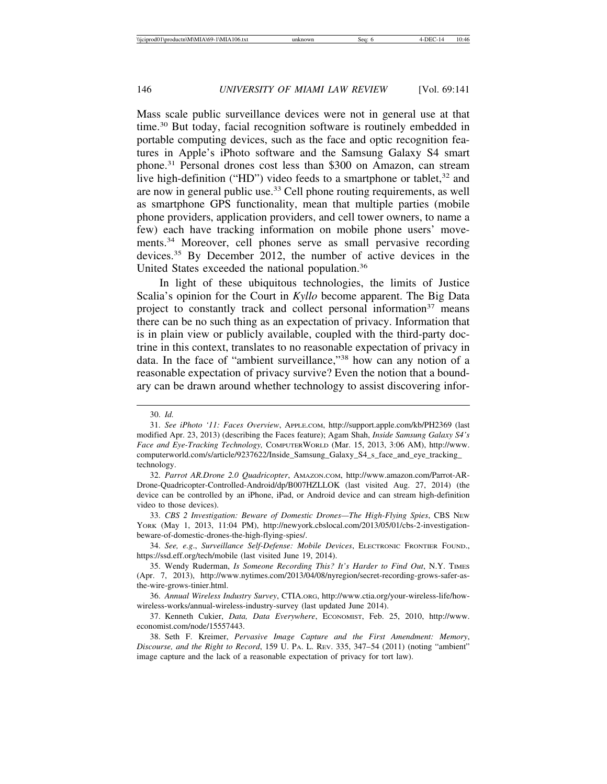Mass scale public surveillance devices were not in general use at that time.30 But today, facial recognition software is routinely embedded in portable computing devices, such as the face and optic recognition features in Apple's iPhoto software and the Samsung Galaxy S4 smart phone.31 Personal drones cost less than \$300 on Amazon, can stream live high-definition ("HD") video feeds to a smartphone or tablet,  $32$  and are now in general public use.33 Cell phone routing requirements, as well as smartphone GPS functionality, mean that multiple parties (mobile phone providers, application providers, and cell tower owners, to name a few) each have tracking information on mobile phone users' movements.<sup>34</sup> Moreover, cell phones serve as small pervasive recording devices.<sup>35</sup> By December 2012, the number of active devices in the United States exceeded the national population.36

In light of these ubiquitous technologies, the limits of Justice Scalia's opinion for the Court in *Kyllo* become apparent. The Big Data project to constantly track and collect personal information<sup>37</sup> means there can be no such thing as an expectation of privacy. Information that is in plain view or publicly available, coupled with the third-party doctrine in this context, translates to no reasonable expectation of privacy in data. In the face of "ambient surveillance,"38 how can any notion of a reasonable expectation of privacy survive? Even the notion that a boundary can be drawn around whether technology to assist discovering infor-

<sup>30.</sup> *Id.*

<sup>31.</sup> *See iPhoto '11: Faces Overview*, APPLE.COM, http://support.apple.com/kb/PH2369 (last modified Apr. 23, 2013) (describing the Faces feature); Agam Shah, *Inside Samsung Galaxy S4's Face and Eye-Tracking Technology,* COMPUTERWORLD (Mar. 15, 2013, 3:06 AM), http://www. computerworld.com/s/article/9237622/Inside\_Samsung\_Galaxy\_S4\_s\_face\_and\_eye\_tracking\_ technology.

<sup>32.</sup> *Parrot AR.Drone 2.0 Quadricopter*, AMAZON.COM, http://www.amazon.com/Parrot-AR-Drone-Quadricopter-Controlled-Android/dp/B007HZLLOK (last visited Aug. 27, 2014) (the device can be controlled by an iPhone, iPad, or Android device and can stream high-definition video to those devices).

<sup>33.</sup> *CBS 2 Investigation: Beware of Domestic Drones—The High-Flying Spies*, CBS NEW YORK (May 1, 2013, 11:04 PM), http://newyork.cbslocal.com/2013/05/01/cbs-2-investigationbeware-of-domestic-drones-the-high-flying-spies/.

<sup>34.</sup> *See, e.g*., *Surveillance Self-Defense: Mobile Devices*, ELECTRONIC FRONTIER FOUND., https://ssd.eff.org/tech/mobile (last visited June 19, 2014).

<sup>35.</sup> Wendy Ruderman, *Is Someone Recording This? It's Harder to Find Out*, N.Y. TIMES (Apr. 7, 2013), http://www.nytimes.com/2013/04/08/nyregion/secret-recording-grows-safer-asthe-wire-grows-tinier.html.

<sup>36.</sup> *Annual Wireless Industry Survey*, CTIA.ORG, http://www.ctia.org/your-wireless-life/howwireless-works/annual-wireless-industry-survey (last updated June 2014).

<sup>37.</sup> Kenneth Cukier, *Data, Data Everywhere*, ECONOMIST, Feb. 25, 2010, http://www. economist.com/node/15557443.

<sup>38.</sup> Seth F. Kreimer, *Pervasive Image Capture and the First Amendment: Memory*, *Discourse, and the Right to Record*, 159 U. PA. L. REV. 335, 347–54 (2011) (noting "ambient" image capture and the lack of a reasonable expectation of privacy for tort law).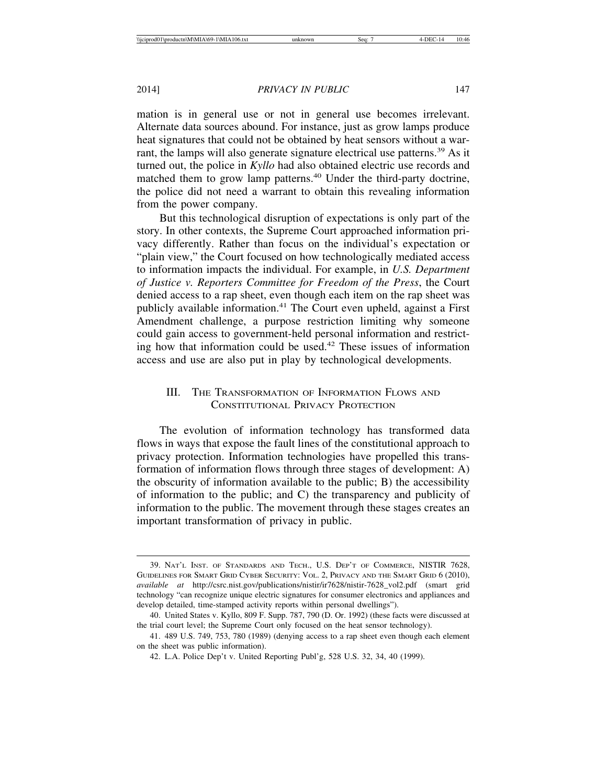mation is in general use or not in general use becomes irrelevant. Alternate data sources abound. For instance, just as grow lamps produce heat signatures that could not be obtained by heat sensors without a warrant, the lamps will also generate signature electrical use patterns.<sup>39</sup> As it turned out, the police in *Kyllo* had also obtained electric use records and matched them to grow lamp patterns.<sup>40</sup> Under the third-party doctrine, the police did not need a warrant to obtain this revealing information from the power company.

But this technological disruption of expectations is only part of the story. In other contexts, the Supreme Court approached information privacy differently. Rather than focus on the individual's expectation or "plain view," the Court focused on how technologically mediated access to information impacts the individual. For example, in *U.S. Department of Justice v. Reporters Committee for Freedom of the Press*, the Court denied access to a rap sheet, even though each item on the rap sheet was publicly available information.<sup>41</sup> The Court even upheld, against a First Amendment challenge, a purpose restriction limiting why someone could gain access to government-held personal information and restricting how that information could be used.<sup>42</sup> These issues of information access and use are also put in play by technological developments.

## III. THE TRANSFORMATION OF INFORMATION FLOWS AND CONSTITUTIONAL PRIVACY PROTECTION

The evolution of information technology has transformed data flows in ways that expose the fault lines of the constitutional approach to privacy protection. Information technologies have propelled this transformation of information flows through three stages of development: A) the obscurity of information available to the public; B) the accessibility of information to the public; and C) the transparency and publicity of information to the public. The movement through these stages creates an important transformation of privacy in public.

<sup>39.</sup> NAT'L INST. OF STANDARDS AND TECH., U.S. DEP'T OF COMMERCE, NISTIR 7628, GUIDELINES FOR SMART GRID CYBER SECURITY: VOL. 2, PRIVACY AND THE SMART GRID 6 (2010), *available at* http://csrc.nist.gov/publications/nistir/ir7628/nistir-7628\_vol2.pdf (smart grid technology "can recognize unique electric signatures for consumer electronics and appliances and develop detailed, time-stamped activity reports within personal dwellings").

<sup>40.</sup> United States v. Kyllo, 809 F. Supp. 787, 790 (D. Or. 1992) (these facts were discussed at the trial court level; the Supreme Court only focused on the heat sensor technology).

<sup>41. 489</sup> U.S. 749, 753, 780 (1989) (denying access to a rap sheet even though each element on the sheet was public information).

<sup>42.</sup> L.A. Police Dep't v. United Reporting Publ'g, 528 U.S. 32, 34, 40 (1999).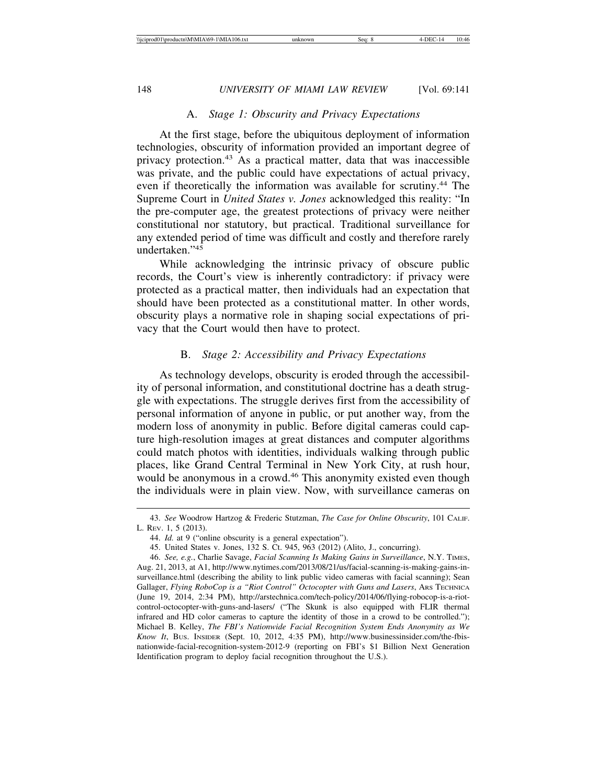# A. *Stage 1: Obscurity and Privacy Expectations*

At the first stage, before the ubiquitous deployment of information technologies, obscurity of information provided an important degree of privacy protection.43 As a practical matter, data that was inaccessible was private, and the public could have expectations of actual privacy, even if theoretically the information was available for scrutiny.<sup>44</sup> The Supreme Court in *United States v. Jones* acknowledged this reality: "In the pre-computer age, the greatest protections of privacy were neither constitutional nor statutory, but practical. Traditional surveillance for any extended period of time was difficult and costly and therefore rarely undertaken."45

While acknowledging the intrinsic privacy of obscure public records, the Court's view is inherently contradictory: if privacy were protected as a practical matter, then individuals had an expectation that should have been protected as a constitutional matter. In other words, obscurity plays a normative role in shaping social expectations of privacy that the Court would then have to protect.

# B. *Stage 2: Accessibility and Privacy Expectations*

As technology develops, obscurity is eroded through the accessibility of personal information, and constitutional doctrine has a death struggle with expectations. The struggle derives first from the accessibility of personal information of anyone in public, or put another way, from the modern loss of anonymity in public. Before digital cameras could capture high-resolution images at great distances and computer algorithms could match photos with identities, individuals walking through public places, like Grand Central Terminal in New York City, at rush hour, would be anonymous in a crowd.<sup>46</sup> This anonymity existed even though the individuals were in plain view. Now, with surveillance cameras on

<sup>43.</sup> *See* Woodrow Hartzog & Frederic Stutzman, *The Case for Online Obscurity*, 101 CALIF. L. REV. 1, 5 (2013).

<sup>44.</sup> *Id.* at 9 ("online obscurity is a general expectation").

<sup>45.</sup> United States v. Jones, 132 S. Ct. 945, 963 (2012) (Alito, J., concurring).

<sup>46.</sup> *See, e.g.*, Charlie Savage, *Facial Scanning Is Making Gains in Surveillance*, N.Y. TIMES, Aug. 21, 2013, at A1, http://www.nytimes.com/2013/08/21/us/facial-scanning-is-making-gains-insurveillance.html (describing the ability to link public video cameras with facial scanning); Sean Gallager, *Flying RoboCop is a "Riot Control" Octocopter with Guns and Lasers*, Ars TECHNICA (June 19, 2014, 2:34 PM), http://arstechnica.com/tech-policy/2014/06/flying-robocop-is-a-riotcontrol-octocopter-with-guns-and-lasers/ ("The Skunk is also equipped with FLIR thermal infrared and HD color cameras to capture the identity of those in a crowd to be controlled."); Michael B. Kelley, *The FBI's Nationwide Facial Recognition System Ends Anonymity as We Know It*, BUS. INSIDER (Sept. 10, 2012, 4:35 PM), http://www.businessinsider.com/the-fbisnationwide-facial-recognition-system-2012-9 (reporting on FBI's \$1 Billion Next Generation Identification program to deploy facial recognition throughout the U.S.).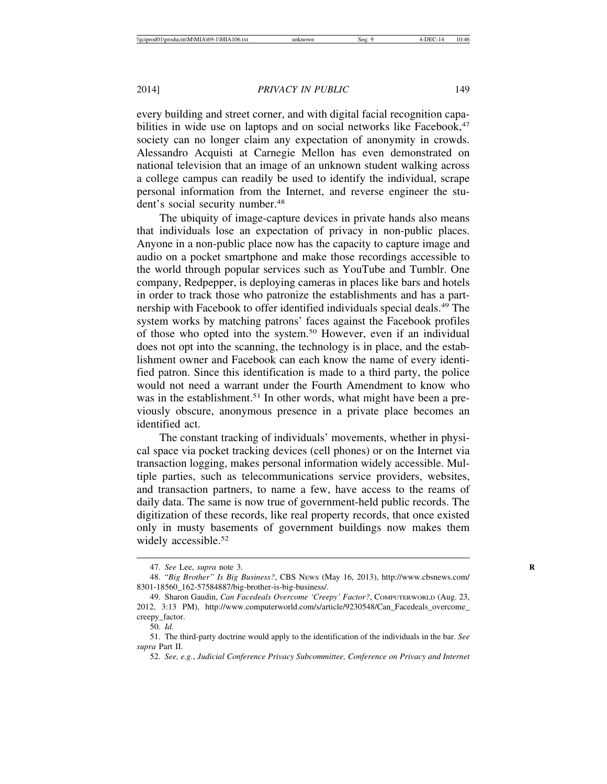every building and street corner, and with digital facial recognition capabilities in wide use on laptops and on social networks like Facebook,<sup>47</sup> society can no longer claim any expectation of anonymity in crowds. Alessandro Acquisti at Carnegie Mellon has even demonstrated on national television that an image of an unknown student walking across a college campus can readily be used to identify the individual, scrape personal information from the Internet, and reverse engineer the student's social security number.<sup>48</sup>

The ubiquity of image-capture devices in private hands also means that individuals lose an expectation of privacy in non-public places. Anyone in a non-public place now has the capacity to capture image and audio on a pocket smartphone and make those recordings accessible to the world through popular services such as YouTube and Tumblr. One company, Redpepper, is deploying cameras in places like bars and hotels in order to track those who patronize the establishments and has a partnership with Facebook to offer identified individuals special deals.<sup>49</sup> The system works by matching patrons' faces against the Facebook profiles of those who opted into the system.50 However, even if an individual does not opt into the scanning, the technology is in place, and the establishment owner and Facebook can each know the name of every identified patron. Since this identification is made to a third party, the police would not need a warrant under the Fourth Amendment to know who was in the establishment.<sup>51</sup> In other words, what might have been a previously obscure, anonymous presence in a private place becomes an identified act.

The constant tracking of individuals' movements, whether in physical space via pocket tracking devices (cell phones) or on the Internet via transaction logging, makes personal information widely accessible. Multiple parties, such as telecommunications service providers, websites, and transaction partners, to name a few, have access to the reams of daily data. The same is now true of government-held public records. The digitization of these records, like real property records, that once existed only in musty basements of government buildings now makes them widely accessible.<sup>52</sup>

<sup>47.</sup> *See* Lee, *supra* note 3. **R**

<sup>48. &</sup>quot;*Big Brother" Is Big Business?*, CBS NEWS (May 16, 2013), http://www.cbsnews.com/ 8301-18560\_162-57584887/big-brother-is-big-business/.

<sup>49.</sup> Sharon Gaudin, *Can Facedeals Overcome 'Creepy' Factor?*, COMPUTERWORLD (Aug. 23, 2012, 3:13 PM), http://www.computerworld.com/s/article/9230548/Can\_Facedeals\_overcome\_ creepy\_factor.

<sup>50.</sup> *Id.*

<sup>51.</sup> The third-party doctrine would apply to the identification of the individuals in the bar. *See supra* Part II.

<sup>52.</sup> *See, e.g.*, *Judicial Conference Privacy Subcommittee, Conference on Privacy and Internet*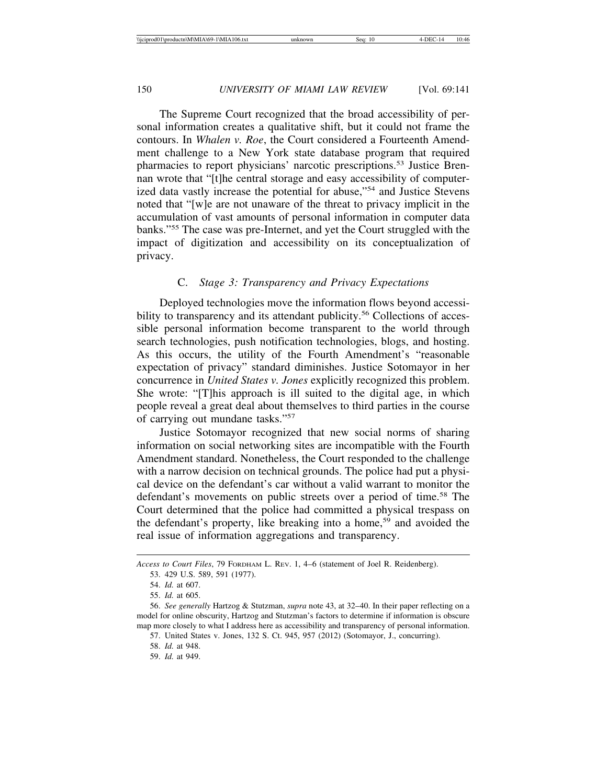The Supreme Court recognized that the broad accessibility of personal information creates a qualitative shift, but it could not frame the contours. In *Whalen v. Roe*, the Court considered a Fourteenth Amendment challenge to a New York state database program that required pharmacies to report physicians' narcotic prescriptions.53 Justice Brennan wrote that "[t]he central storage and easy accessibility of computerized data vastly increase the potential for abuse,"54 and Justice Stevens noted that "[w]e are not unaware of the threat to privacy implicit in the accumulation of vast amounts of personal information in computer data banks."55 The case was pre-Internet, and yet the Court struggled with the impact of digitization and accessibility on its conceptualization of privacy.

## C. *Stage 3: Transparency and Privacy Expectations*

Deployed technologies move the information flows beyond accessibility to transparency and its attendant publicity.<sup>56</sup> Collections of accessible personal information become transparent to the world through search technologies, push notification technologies, blogs, and hosting. As this occurs, the utility of the Fourth Amendment's "reasonable expectation of privacy" standard diminishes. Justice Sotomayor in her concurrence in *United States v. Jones* explicitly recognized this problem. She wrote: "[T]his approach is ill suited to the digital age, in which people reveal a great deal about themselves to third parties in the course of carrying out mundane tasks."57

Justice Sotomayor recognized that new social norms of sharing information on social networking sites are incompatible with the Fourth Amendment standard. Nonetheless, the Court responded to the challenge with a narrow decision on technical grounds. The police had put a physical device on the defendant's car without a valid warrant to monitor the defendant's movements on public streets over a period of time.<sup>58</sup> The Court determined that the police had committed a physical trespass on the defendant's property, like breaking into a home,<sup>59</sup> and avoided the real issue of information aggregations and transparency.

*Access to Court Files*, 79 FORDHAM L. REV. 1, 4–6 (statement of Joel R. Reidenberg).

<sup>53. 429</sup> U.S. 589, 591 (1977).

<sup>54.</sup> *Id.* at 607.

<sup>55.</sup> *Id.* at 605.

<sup>56.</sup> *See generally* Hartzog & Stutzman, *supra* note 43, at 32–40. In their paper reflecting on a model for online obscurity, Hartzog and Stutzman's factors to determine if information is obscure map more closely to what I address here as accessibility and transparency of personal information.

<sup>57.</sup> United States v. Jones, 132 S. Ct. 945, 957 (2012) (Sotomayor, J., concurring).

<sup>58.</sup> *Id.* at 948.

<sup>59.</sup> *Id.* at 949.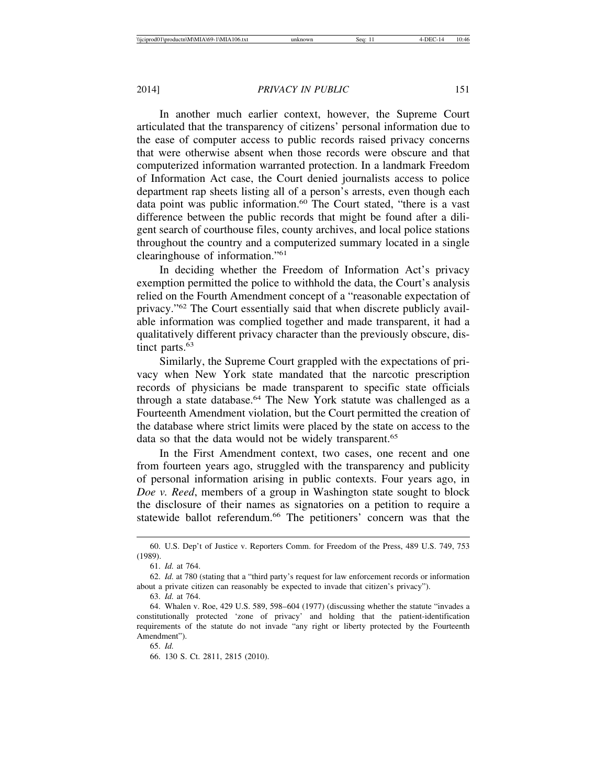In another much earlier context, however, the Supreme Court articulated that the transparency of citizens' personal information due to the ease of computer access to public records raised privacy concerns that were otherwise absent when those records were obscure and that computerized information warranted protection. In a landmark Freedom of Information Act case, the Court denied journalists access to police department rap sheets listing all of a person's arrests, even though each data point was public information.<sup>60</sup> The Court stated, "there is a vast difference between the public records that might be found after a diligent search of courthouse files, county archives, and local police stations throughout the country and a computerized summary located in a single clearinghouse of information."61

In deciding whether the Freedom of Information Act's privacy exemption permitted the police to withhold the data, the Court's analysis relied on the Fourth Amendment concept of a "reasonable expectation of privacy."62 The Court essentially said that when discrete publicly available information was complied together and made transparent, it had a qualitatively different privacy character than the previously obscure, distinct parts.<sup>63</sup>

Similarly, the Supreme Court grappled with the expectations of privacy when New York state mandated that the narcotic prescription records of physicians be made transparent to specific state officials through a state database.64 The New York statute was challenged as a Fourteenth Amendment violation, but the Court permitted the creation of the database where strict limits were placed by the state on access to the data so that the data would not be widely transparent.<sup>65</sup>

In the First Amendment context, two cases, one recent and one from fourteen years ago, struggled with the transparency and publicity of personal information arising in public contexts. Four years ago, in *Doe v. Reed*, members of a group in Washington state sought to block the disclosure of their names as signatories on a petition to require a statewide ballot referendum.<sup>66</sup> The petitioners' concern was that the

<sup>60.</sup> U.S. Dep't of Justice v. Reporters Comm. for Freedom of the Press, 489 U.S. 749, 753 (1989).

<sup>61.</sup> *Id.* at 764.

<sup>62.</sup> *Id.* at 780 (stating that a "third party's request for law enforcement records or information about a private citizen can reasonably be expected to invade that citizen's privacy"). 63. *Id.* at 764.

<sup>64.</sup> Whalen v. Roe, 429 U.S. 589, 598–604 (1977) (discussing whether the statute "invades a constitutionally protected 'zone of privacy' and holding that the patient-identification requirements of the statute do not invade "any right or liberty protected by the Fourteenth Amendment").

<sup>65.</sup> *Id.*

<sup>66. 130</sup> S. Ct. 2811, 2815 (2010).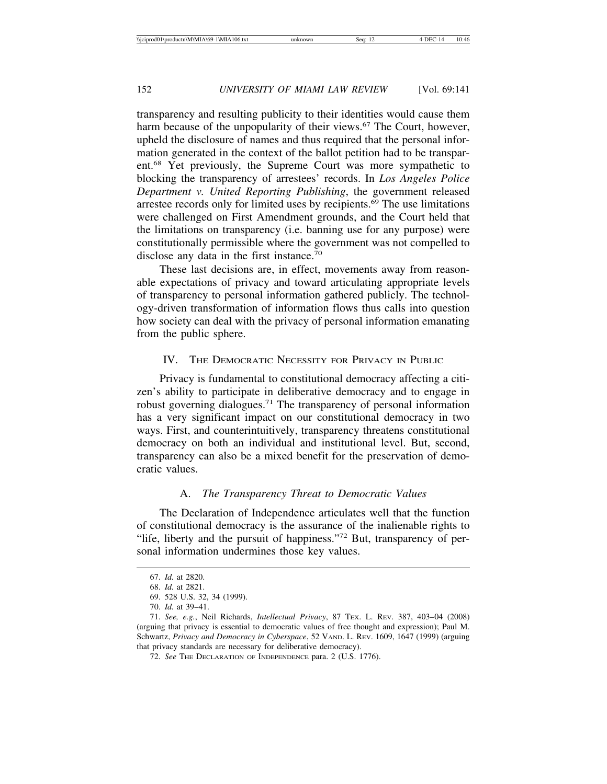transparency and resulting publicity to their identities would cause them harm because of the unpopularity of their views.<sup>67</sup> The Court, however, upheld the disclosure of names and thus required that the personal information generated in the context of the ballot petition had to be transparent.68 Yet previously, the Supreme Court was more sympathetic to blocking the transparency of arrestees' records. In *Los Angeles Police Department v. United Reporting Publishing*, the government released arrestee records only for limited uses by recipients.69 The use limitations were challenged on First Amendment grounds, and the Court held that the limitations on transparency (i.e. banning use for any purpose) were constitutionally permissible where the government was not compelled to disclose any data in the first instance.<sup>70</sup>

These last decisions are, in effect, movements away from reasonable expectations of privacy and toward articulating appropriate levels of transparency to personal information gathered publicly. The technology-driven transformation of information flows thus calls into question how society can deal with the privacy of personal information emanating from the public sphere.

#### IV. THE DEMOCRATIC NECESSITY FOR PRIVACY IN PUBLIC

Privacy is fundamental to constitutional democracy affecting a citizen's ability to participate in deliberative democracy and to engage in robust governing dialogues.71 The transparency of personal information has a very significant impact on our constitutional democracy in two ways. First, and counterintuitively, transparency threatens constitutional democracy on both an individual and institutional level. But, second, transparency can also be a mixed benefit for the preservation of democratic values.

## A. *The Transparency Threat to Democratic Values*

The Declaration of Independence articulates well that the function of constitutional democracy is the assurance of the inalienable rights to "life, liberty and the pursuit of happiness."<sup>72</sup> But, transparency of personal information undermines those key values.

<sup>67.</sup> *Id.* at 2820.

<sup>68.</sup> *Id.* at 2821.

<sup>69. 528</sup> U.S. 32, 34 (1999).

<sup>70.</sup> *Id.* at 39–41.

<sup>71.</sup> *See, e.g.*, Neil Richards, *Intellectual Privacy*, 87 TEX. L. REV. 387, 403–04 (2008) (arguing that privacy is essential to democratic values of free thought and expression); Paul M. Schwartz, *Privacy and Democracy in Cyberspace*, 52 VAND. L. REV. 1609, 1647 (1999) (arguing that privacy standards are necessary for deliberative democracy).

<sup>72.</sup> *See* THE DECLARATION OF INDEPENDENCE para. 2 (U.S. 1776).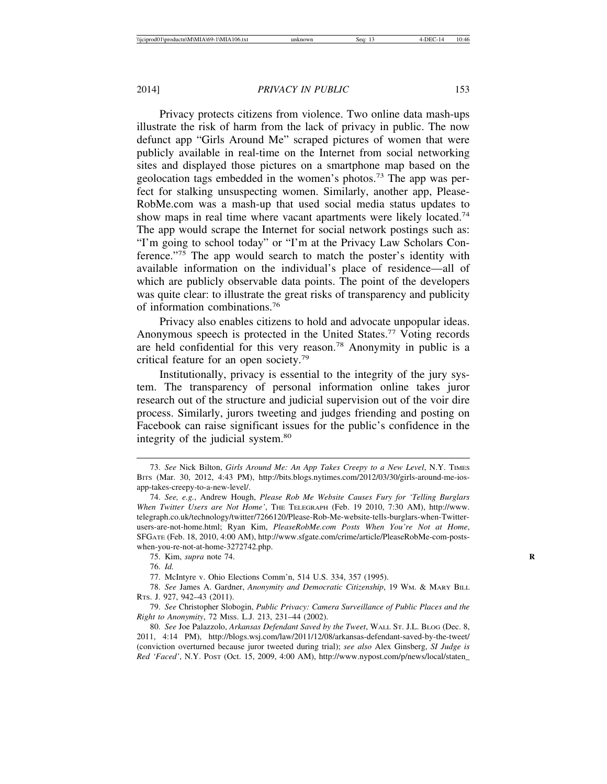Privacy protects citizens from violence. Two online data mash-ups illustrate the risk of harm from the lack of privacy in public. The now defunct app "Girls Around Me" scraped pictures of women that were publicly available in real-time on the Internet from social networking sites and displayed those pictures on a smartphone map based on the geolocation tags embedded in the women's photos.73 The app was perfect for stalking unsuspecting women. Similarly, another app, Please-RobMe.com was a mash-up that used social media status updates to show maps in real time where vacant apartments were likely located.<sup>74</sup> The app would scrape the Internet for social network postings such as: "I'm going to school today" or "I'm at the Privacy Law Scholars Conference."75 The app would search to match the poster's identity with available information on the individual's place of residence—all of which are publicly observable data points. The point of the developers was quite clear: to illustrate the great risks of transparency and publicity of information combinations.76

Privacy also enables citizens to hold and advocate unpopular ideas. Anonymous speech is protected in the United States.<sup>77</sup> Voting records are held confidential for this very reason.78 Anonymity in public is a critical feature for an open society.79

Institutionally, privacy is essential to the integrity of the jury system. The transparency of personal information online takes juror research out of the structure and judicial supervision out of the voir dire process. Similarly, jurors tweeting and judges friending and posting on Facebook can raise significant issues for the public's confidence in the integrity of the judicial system.<sup>80</sup>

77. McIntyre v. Ohio Elections Comm'n, 514 U.S. 334, 357 (1995).

78. *See* James A. Gardner, *Anonymity and Democratic Citizenship*, 19 WM. & MARY BILL RTS. J. 927, 942–43 (2011).

79. *See* Christopher Slobogin, *Public Privacy: Camera Surveillance of Public Places and the Right to Anonymity*, 72 MISS. L.J. 213, 231–44 (2002).

<sup>73.</sup> *See* Nick Bilton, *Girls Around Me: An App Takes Creepy to a New Level*, N.Y. TIMES BITS (Mar. 30, 2012, 4:43 PM), http://bits.blogs.nytimes.com/2012/03/30/girls-around-me-iosapp-takes-creepy-to-a-new-level/.

<sup>74.</sup> *See, e.g.*, Andrew Hough, *Please Rob Me Website Causes Fury for 'Telling Burglars When Twitter Users are Not Home'*, THE TELEGRAPH (Feb. 19 2010, 7:30 AM), http://www. telegraph.co.uk/technology/twitter/7266120/Please-Rob-Me-website-tells-burglars-when-Twitterusers-are-not-home.html; Ryan Kim, *PleaseRobMe.com Posts When You're Not at Home*, SFGATE (Feb. 18, 2010, 4:00 AM), http://www.sfgate.com/crime/article/PleaseRobMe-com-postswhen-you-re-not-at-home-3272742.php.

<sup>75.</sup> Kim, *supra* note 74. **R**

<sup>76.</sup> *Id.*

<sup>80.</sup> *See* Joe Palazzolo, *Arkansas Defendant Saved by the Tweet*, WALL ST. J.L. BLOG (Dec. 8, 2011, 4:14 PM), http://blogs.wsj.com/law/2011/12/08/arkansas-defendant-saved-by-the-tweet/ (conviction overturned because juror tweeted during trial); *see also* Alex Ginsberg, *SI Judge is Red 'Faced'*, N.Y. POST (Oct. 15, 2009, 4:00 AM), http://www.nypost.com/p/news/local/staten\_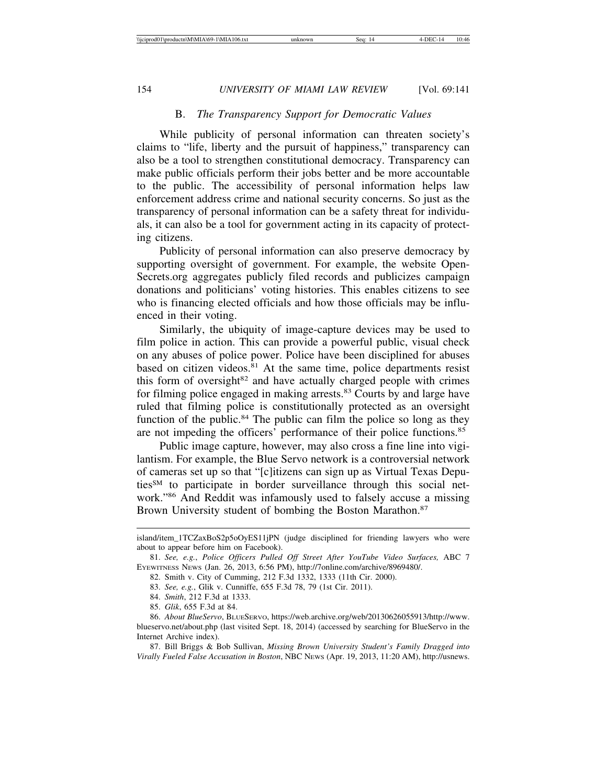## B. *The Transparency Support for Democratic Values*

While publicity of personal information can threaten society's claims to "life, liberty and the pursuit of happiness," transparency can also be a tool to strengthen constitutional democracy. Transparency can make public officials perform their jobs better and be more accountable to the public. The accessibility of personal information helps law enforcement address crime and national security concerns. So just as the transparency of personal information can be a safety threat for individuals, it can also be a tool for government acting in its capacity of protecting citizens.

Publicity of personal information can also preserve democracy by supporting oversight of government. For example, the website Open-Secrets.org aggregates publicly filed records and publicizes campaign donations and politicians' voting histories. This enables citizens to see who is financing elected officials and how those officials may be influenced in their voting.

Similarly, the ubiquity of image-capture devices may be used to film police in action. This can provide a powerful public, visual check on any abuses of police power. Police have been disciplined for abuses based on citizen videos.81 At the same time, police departments resist this form of oversight $82$  and have actually charged people with crimes for filming police engaged in making arrests.<sup>83</sup> Courts by and large have ruled that filming police is constitutionally protected as an oversight function of the public.<sup>84</sup> The public can film the police so long as they are not impeding the officers' performance of their police functions.85

Public image capture, however, may also cross a fine line into vigilantism. For example, the Blue Servo network is a controversial network of cameras set up so that "[c]itizens can sign up as Virtual Texas DeputiesSM to participate in border surveillance through this social network."86 And Reddit was infamously used to falsely accuse a missing Brown University student of bombing the Boston Marathon.<sup>87</sup>

island/item\_1TCZaxBoS2p5oOyES11jPN (judge disciplined for friending lawyers who were about to appear before him on Facebook).

<sup>81.</sup> *See, e.g.*, *Police Officers Pulled Off Street After YouTube Video Surfaces,* ABC 7 EYEWITNESS NEWS (Jan. 26, 2013, 6:56 PM), http://7online.com/archive/8969480/.

<sup>82.</sup> Smith v. City of Cumming, 212 F.3d 1332, 1333 (11th Cir. 2000).

<sup>83.</sup> *See, e.g.*, Glik v. Cunniffe, 655 F.3d 78, 79 (1st Cir. 2011).

<sup>84.</sup> *Smith*, 212 F.3d at 1333.

<sup>85.</sup> *Glik*, 655 F.3d at 84.

<sup>86.</sup> *About BlueServo*, BLUESERVO, https://web.archive.org/web/20130626055913/http://www. blueservo.net/about.php (last visited Sept. 18, 2014) (accessed by searching for BlueServo in the Internet Archive index).

<sup>87.</sup> Bill Briggs & Bob Sullivan, *Missing Brown University Student's Family Dragged into Virally Fueled False Accusation in Boston*, NBC NEWS (Apr. 19, 2013, 11:20 AM), http://usnews.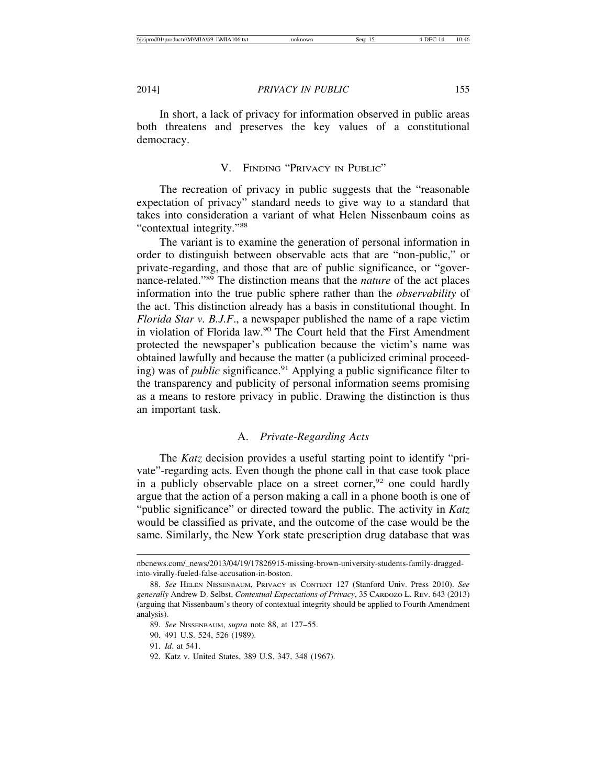In short, a lack of privacy for information observed in public areas both threatens and preserves the key values of a constitutional democracy.

## V. FINDING "PRIVACY IN PUBLIC"

The recreation of privacy in public suggests that the "reasonable expectation of privacy" standard needs to give way to a standard that takes into consideration a variant of what Helen Nissenbaum coins as "contextual integrity."88

The variant is to examine the generation of personal information in order to distinguish between observable acts that are "non-public," or private-regarding, and those that are of public significance, or "governance-related."89 The distinction means that the *nature* of the act places information into the true public sphere rather than the *observability* of the act. This distinction already has a basis in constitutional thought. In *Florida Star v. B.J.F*., a newspaper published the name of a rape victim in violation of Florida law.90 The Court held that the First Amendment protected the newspaper's publication because the victim's name was obtained lawfully and because the matter (a publicized criminal proceeding) was of *public* significance.<sup>91</sup> Applying a public significance filter to the transparency and publicity of personal information seems promising as a means to restore privacy in public. Drawing the distinction is thus an important task.

## A. *Private-Regarding Acts*

The *Katz* decision provides a useful starting point to identify "private"-regarding acts. Even though the phone call in that case took place in a publicly observable place on a street corner,  $92$  one could hardly argue that the action of a person making a call in a phone booth is one of "public significance" or directed toward the public. The activity in *Katz* would be classified as private, and the outcome of the case would be the same. Similarly, the New York state prescription drug database that was

nbcnews.com/\_news/2013/04/19/17826915-missing-brown-university-students-family-draggedinto-virally-fueled-false-accusation-in-boston.

<sup>88.</sup> *See* HELEN NISSENBAUM, PRIVACY IN CONTEXT 127 (Stanford Univ. Press 2010). *See generally* Andrew D. Selbst, *Contextual Expectations of Privacy*, 35 CARDOZO L. REV. 643 (2013) (arguing that Nissenbaum's theory of contextual integrity should be applied to Fourth Amendment analysis).

<sup>89.</sup> *See* NISSENBAUM, *supra* note 88, at 127–55.

<sup>90. 491</sup> U.S. 524, 526 (1989).

<sup>91.</sup> *Id*. at 541.

<sup>92.</sup> Katz v. United States, 389 U.S. 347, 348 (1967).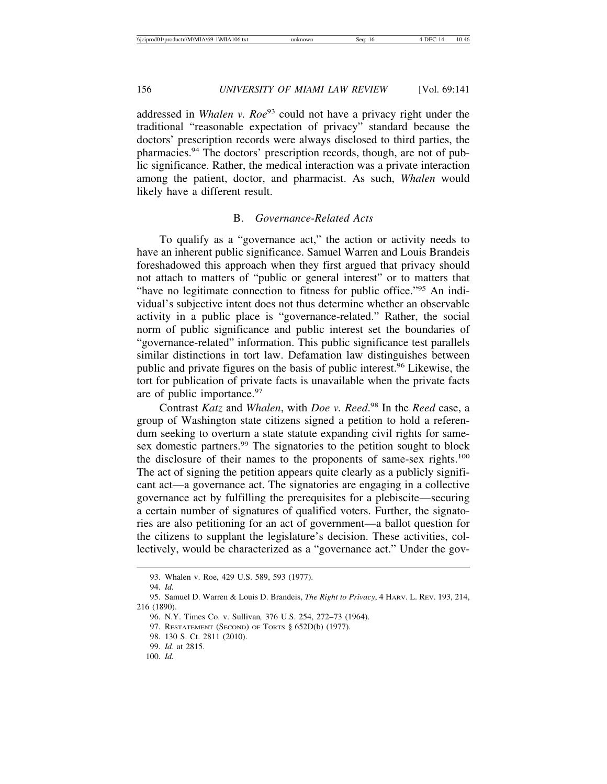addressed in *Whalen v. Roe*<sup>93</sup> could not have a privacy right under the traditional "reasonable expectation of privacy" standard because the doctors' prescription records were always disclosed to third parties, the pharmacies.94 The doctors' prescription records, though, are not of public significance. Rather, the medical interaction was a private interaction among the patient, doctor, and pharmacist. As such, *Whalen* would likely have a different result.

## B. *Governance-Related Acts*

To qualify as a "governance act," the action or activity needs to have an inherent public significance. Samuel Warren and Louis Brandeis foreshadowed this approach when they first argued that privacy should not attach to matters of "public or general interest" or to matters that "have no legitimate connection to fitness for public office."95 An individual's subjective intent does not thus determine whether an observable activity in a public place is "governance-related." Rather, the social norm of public significance and public interest set the boundaries of "governance-related" information. This public significance test parallels similar distinctions in tort law. Defamation law distinguishes between public and private figures on the basis of public interest.96 Likewise, the tort for publication of private facts is unavailable when the private facts are of public importance.<sup>97</sup>

Contrast *Katz* and *Whalen*, with *Doe v. Reed*. 98 In the *Reed* case, a group of Washington state citizens signed a petition to hold a referendum seeking to overturn a state statute expanding civil rights for samesex domestic partners.<sup>99</sup> The signatories to the petition sought to block the disclosure of their names to the proponents of same-sex rights.<sup>100</sup> The act of signing the petition appears quite clearly as a publicly significant act—a governance act. The signatories are engaging in a collective governance act by fulfilling the prerequisites for a plebiscite—securing a certain number of signatures of qualified voters. Further, the signatories are also petitioning for an act of government—a ballot question for the citizens to supplant the legislature's decision. These activities, collectively, would be characterized as a "governance act." Under the gov-

<sup>93.</sup> Whalen v. Roe, 429 U.S. 589, 593 (1977).

<sup>94.</sup> *Id.*

<sup>95.</sup> Samuel D. Warren & Louis D. Brandeis, *The Right to Privacy*, 4 HARV. L. REV. 193, 214, 216 (1890).

<sup>96.</sup> N.Y. Times Co. v. Sullivan*,* 376 U.S. 254, 272–73 (1964).

<sup>97.</sup> RESTATEMENT (SECOND) OF TORTS § 652D(b) (1977).

<sup>98. 130</sup> S. Ct. 2811 (2010).

<sup>99.</sup> *Id*. at 2815.

<sup>100.</sup> *Id.*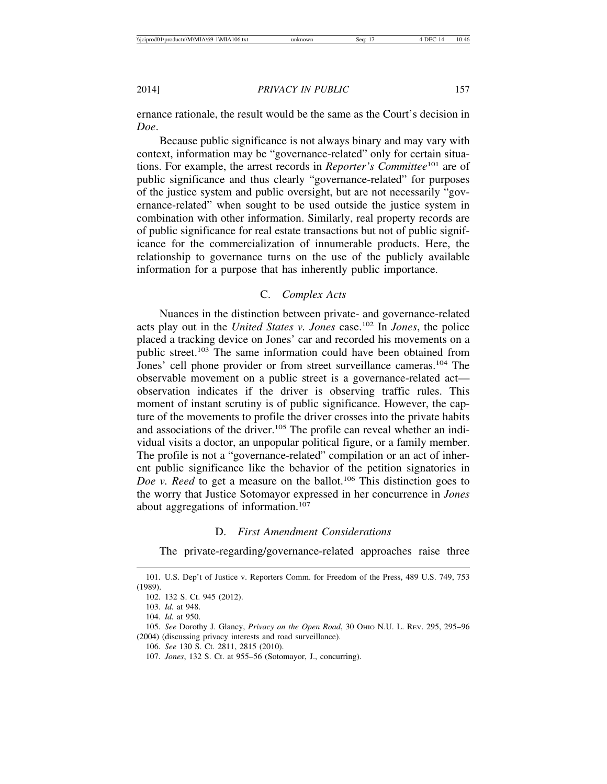ernance rationale, the result would be the same as the Court's decision in *Doe*.

Because public significance is not always binary and may vary with context, information may be "governance-related" only for certain situations. For example, the arrest records in *Reporter's Committee*101 are of public significance and thus clearly "governance-related" for purposes of the justice system and public oversight, but are not necessarily "governance-related" when sought to be used outside the justice system in combination with other information. Similarly, real property records are of public significance for real estate transactions but not of public significance for the commercialization of innumerable products. Here, the relationship to governance turns on the use of the publicly available information for a purpose that has inherently public importance.

## C. *Complex Acts*

Nuances in the distinction between private- and governance-related acts play out in the *United States v. Jones* case.102 In *Jones*, the police placed a tracking device on Jones' car and recorded his movements on a public street.<sup>103</sup> The same information could have been obtained from Jones' cell phone provider or from street surveillance cameras.<sup>104</sup> The observable movement on a public street is a governance-related act observation indicates if the driver is observing traffic rules. This moment of instant scrutiny is of public significance. However, the capture of the movements to profile the driver crosses into the private habits and associations of the driver.<sup>105</sup> The profile can reveal whether an individual visits a doctor, an unpopular political figure, or a family member. The profile is not a "governance-related" compilation or an act of inherent public significance like the behavior of the petition signatories in *Doe v. Reed* to get a measure on the ballot.<sup>106</sup> This distinction goes to the worry that Justice Sotomayor expressed in her concurrence in *Jones* about aggregations of information.<sup>107</sup>

## D. *First Amendment Considerations*

The private-regarding/governance-related approaches raise three

<sup>101.</sup> U.S. Dep't of Justice v. Reporters Comm. for Freedom of the Press, 489 U.S. 749, 753 (1989).

<sup>102. 132</sup> S. Ct. 945 (2012).

<sup>103.</sup> *Id.* at 948.

<sup>104.</sup> *Id.* at 950.

<sup>105.</sup> *See* Dorothy J. Glancy, *Privacy on the Open Road*, 30 OHIO N.U. L. REV. 295, 295–96 (2004) (discussing privacy interests and road surveillance).

<sup>106.</sup> *See* 130 S. Ct. 2811, 2815 (2010).

<sup>107.</sup> *Jones*, 132 S. Ct. at 955–56 (Sotomayor, J., concurring).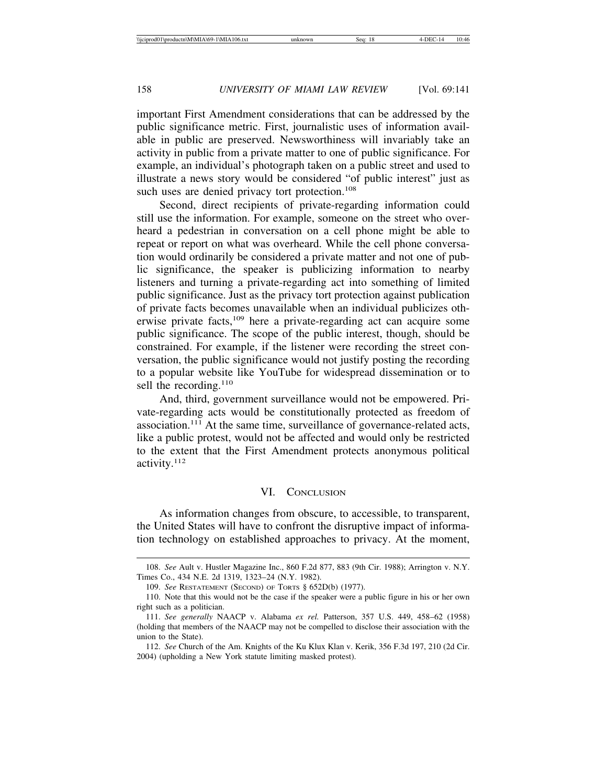important First Amendment considerations that can be addressed by the public significance metric. First, journalistic uses of information available in public are preserved. Newsworthiness will invariably take an activity in public from a private matter to one of public significance. For example, an individual's photograph taken on a public street and used to illustrate a news story would be considered "of public interest" just as such uses are denied privacy tort protection.<sup>108</sup>

Second, direct recipients of private-regarding information could still use the information. For example, someone on the street who overheard a pedestrian in conversation on a cell phone might be able to repeat or report on what was overheard. While the cell phone conversation would ordinarily be considered a private matter and not one of public significance, the speaker is publicizing information to nearby listeners and turning a private-regarding act into something of limited public significance. Just as the privacy tort protection against publication of private facts becomes unavailable when an individual publicizes otherwise private facts,<sup>109</sup> here a private-regarding act can acquire some public significance. The scope of the public interest, though, should be constrained. For example, if the listener were recording the street conversation, the public significance would not justify posting the recording to a popular website like YouTube for widespread dissemination or to sell the recording.<sup>110</sup>

And, third, government surveillance would not be empowered. Private-regarding acts would be constitutionally protected as freedom of association.111 At the same time, surveillance of governance-related acts, like a public protest, would not be affected and would only be restricted to the extent that the First Amendment protects anonymous political activity.112

#### VI. CONCLUSION

As information changes from obscure, to accessible, to transparent, the United States will have to confront the disruptive impact of information technology on established approaches to privacy. At the moment,

<sup>108.</sup> *See* Ault v. Hustler Magazine Inc., 860 F.2d 877, 883 (9th Cir. 1988); Arrington v. N.Y. Times Co., 434 N.E. 2d 1319, 1323–24 (N.Y. 1982).

<sup>109.</sup> *See* RESTATEMENT (SECOND) OF TORTS § 652D(b) (1977).

<sup>110.</sup> Note that this would not be the case if the speaker were a public figure in his or her own right such as a politician.

<sup>111.</sup> *See generally* NAACP v. Alabama *ex rel.* Patterson, 357 U.S. 449, 458–62 (1958) (holding that members of the NAACP may not be compelled to disclose their association with the union to the State).

<sup>112.</sup> *See* Church of the Am. Knights of the Ku Klux Klan v. Kerik, 356 F.3d 197, 210 (2d Cir. 2004) (upholding a New York statute limiting masked protest).